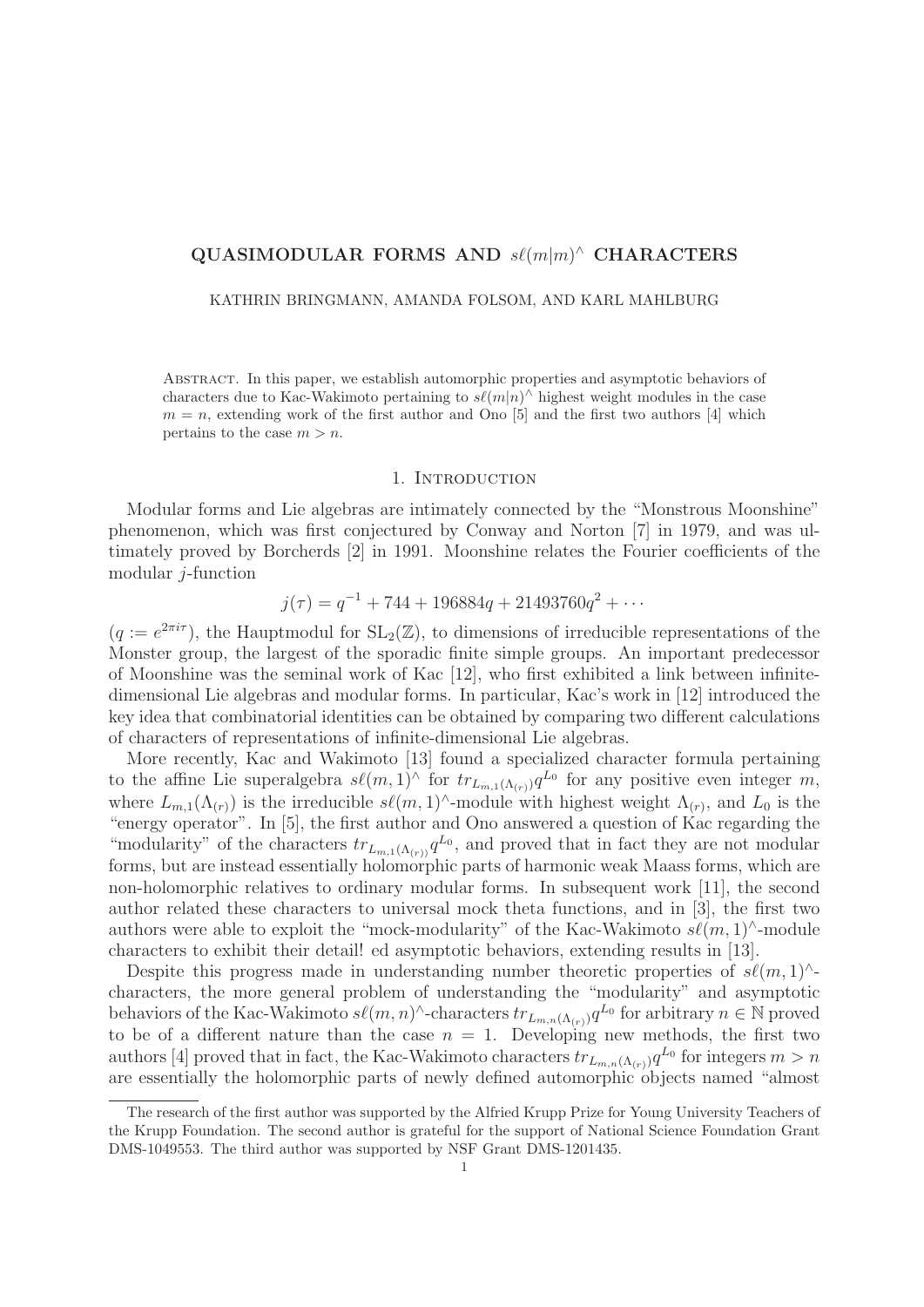# $\mathbf{QUASIMODULAR}$  FORMS AND  $s\ell(m|m)^{\wedge}$  CHARACTERS

KATHRIN BRINGMANN, AMANDA FOLSOM, AND KARL MAHLBURG

Abstract. In this paper, we establish automorphic properties and asymptotic behaviors of characters due to Kac-Wakimoto pertaining to  $s\ell(m|n)$ <sup>^</sup> highest weight modules in the case  $m = n$ , extending work of the first author and Ono [5] and the first two authors [4] which pertains to the case  $m>n$ .

#### 1. Introduction

Modular forms and Lie algebras are intimately connected by the "Monstrous Moonshine" phenomenon, which was first conjectured by Conway and Norton [7] in 1979, and was ultimately proved by Borcherds [2] in 1991. Moonshine relates the Fourier coefficients of the modular  $j$ -function

$$
j(\tau) = q^{-1} + 744 + 196884q + 21493760q^{2} + \cdots
$$

 $(q := e^{2\pi i \tau})$ , the Hauptmodul for  $SL_2(\mathbb{Z})$ , to dimensions of irreducible representations of the Monster group, the largest of the sporadic finite simple groups. An important predecessor of Moonshine was the seminal work of Kac [12], who first exhibited a link between infinitedimensional Lie algebras and modular forms. In particular, Kac's work in [12] introduced the key idea that combinatorial identities can be obtained by comparing two different calculations of characters of representations of infinite-dimensional Lie algebras.

More recently, Kac and Wakimoto [13] found a specialized character formula pertaining to the affine Lie superalgebra  $s\ell(m,1)^\wedge$  for  $tr_{L_{m,1}(\Lambda_{(r)})}q^{L_0}$  for any positive even integer m, where  $L_{m,1}(\Lambda_{(r)})$  is the irreducible  $s\ell(m,1)^\wedge$ -module with highest weight  $\Lambda_{(r)}$ , and  $L_0$  is the "energy operator". In [5], the first author and Ono answered a question of Kac regarding the "modularity" of the characters  $tr_{L_{m,1}(\Lambda_{(r)})}q^{L_0}$ , and proved that in fact they are not modular forms, but are instead essentially holomorphic parts of harmonic weak Maass forms, which are non-holomorphic relatives to ordinary modular forms. In subsequent work [11], the second author related these characters to universal mock theta functions, and in [3], the first two authors were able to exploit the "mock-modularity" of the Kac-Wakimoto  $s\ell(m,1)$ ^-module characters to exhibit their detail! ed asymptotic behaviors, extending results in [13].

Despite this progress made in understanding number theoretic properties of  $s\ell(m,1)^{\wedge}$ characters, the more general problem of understanding the "modularity" and asymptotic behaviors of the Kac-Wakimoto  $s\ell(m,n)$ ^-characters  $tr_{L_{m,n}(\Lambda_{(r)})}q^{L_0}$  for arbitrary  $n \in \mathbb{N}$  proved to be of a different nature than the case  $n = 1$ . Developing new methods, the first two authors [4] proved that in fact, the Kac-Wakimoto characters  $tr_{L_{m,n}(\Lambda_{(r)})}q^{L_0}$  for integers  $m>n$ are essentially the holomorphic parts of newly defined automorphic objects named "almost

The research of the first author was supported by the Alfried Krupp Prize for Young University Teachers of the Krupp Foundation. The second author is grateful for the support of National Science Foundation Grant DMS-1049553. The third author was supported by NSF Grant DMS-1201435.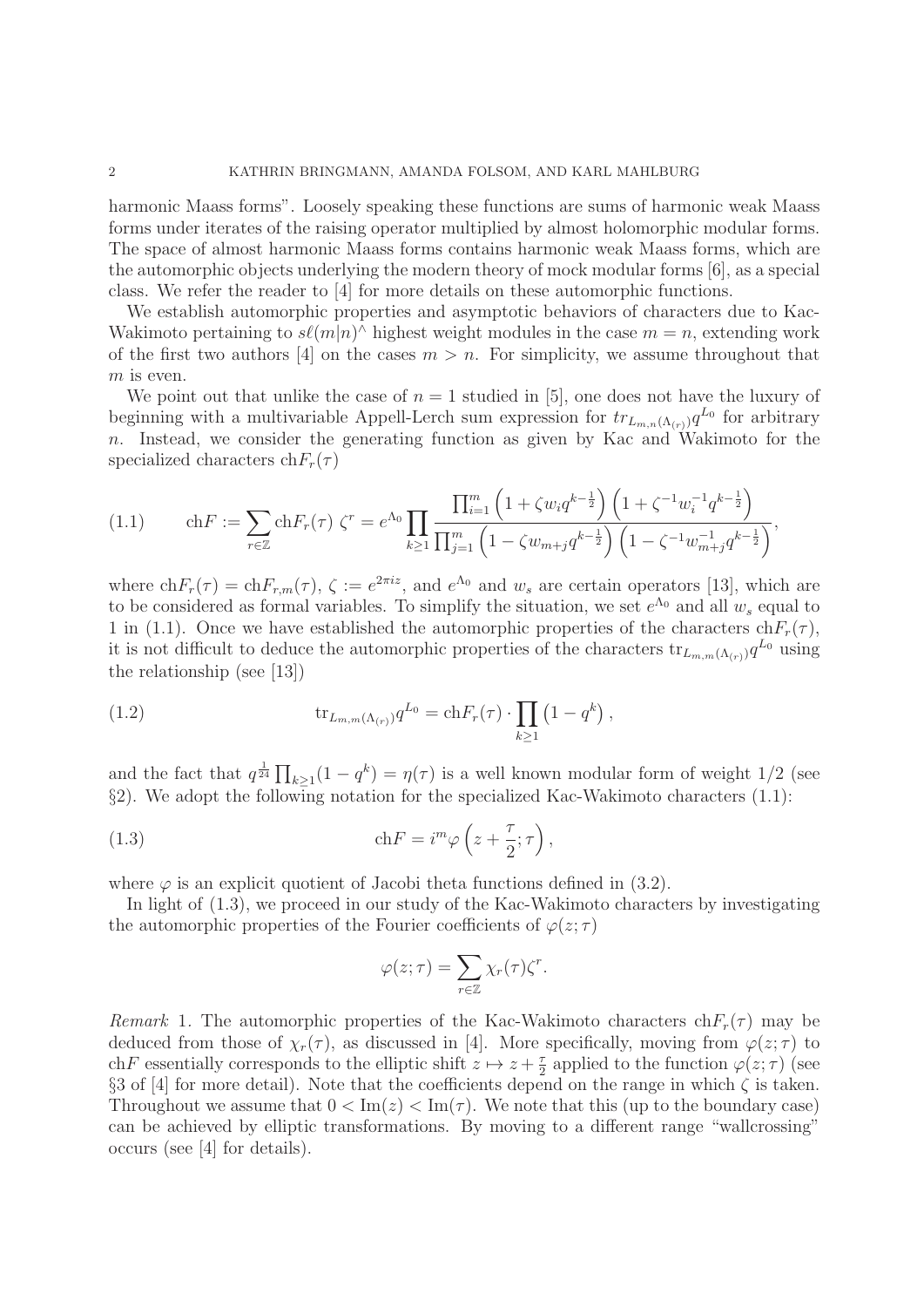harmonic Maass forms". Loosely speaking these functions are sums of harmonic weak Maass forms under iterates of the raising operator multiplied by almost holomorphic modular forms. The space of almost harmonic Maass forms contains harmonic weak Maass forms, which are the automorphic objects underlying the modern theory of mock modular forms [6], as a special class. We refer the reader to [4] for more details on these automorphic functions.

We establish automorphic properties and asymptotic behaviors of characters due to Kac-Wakimoto pertaining to  $s\ell(m|n)$ <sup> $\wedge$ </sup> highest weight modules in the case  $m = n$ , extending work of the first two authors [4] on the cases  $m>n$ . For simplicity, we assume throughout that  $m$  is even.

We point out that unlike the case of  $n = 1$  studied in [5], one does not have the luxury of beginning with a multivariable Appell-Lerch sum expression for  $tr_{L_{m,n}(\Lambda_{(r)})}q^{L_0}$  for arbitrary n. Instead, we consider the generating function as given by Kac and Wakimoto for the specialized characters  $\text{ch}F_r(\tau)$ 

$$
(1.1) \qquad \text{ch}F := \sum_{r \in \mathbb{Z}} \text{ch}F_r(\tau) \zeta^r = e^{\Lambda_0} \prod_{k \ge 1} \frac{\prod_{i=1}^m \left(1 + \zeta w_i q^{k - \frac{1}{2}}\right) \left(1 + \zeta^{-1} w_i^{-1} q^{k - \frac{1}{2}}\right)}{\prod_{j=1}^m \left(1 - \zeta w_{m+j} q^{k - \frac{1}{2}}\right) \left(1 - \zeta^{-1} w_{m+j}^{-1} q^{k - \frac{1}{2}}\right)},
$$

where  $\text{ch}F_r(\tau) = \text{ch}F_{rm}(\tau)$ ,  $\zeta := e^{2\pi i z}$ , and  $e^{\Lambda_0}$  and  $w_s$  are certain operators [13], which are to be considered as formal variables. To simplify the situation, we set  $e^{\Lambda_0}$  and all  $w_s$  equal to 1 in (1.1). Once we have established the automorphic properties of the characters  $chF_r(\tau)$ , it is not difficult to deduce the automorphic properties of the characters  $tr_{L_{m,m}(\Lambda_{(r)})}q^{L_0}$  using the relationship (see [13])

(1.2) 
$$
\text{tr}_{L_{m,m}(\Lambda_{(r)})} q^{L_0} = \text{ch} F_r(\tau) \cdot \prod_{k \ge 1} (1 - q^k) ,
$$

and the fact that  $q^{\frac{1}{24}} \prod_{k \geq 1} (1 - q^k) = \eta(\tau)$  is a well known modular form of weight  $1/2$  (see §2). We adopt the following notation for the specialized Kac-Wakimoto characters (1.1):

(1.3) 
$$
\operatorname{ch} F = i^m \varphi \left( z + \frac{\tau}{2}; \tau \right),
$$

where  $\varphi$  is an explicit quotient of Jacobi theta functions defined in (3.2).

In light of (1.3), we proceed in our study of the Kac-Wakimoto characters by investigating the automorphic properties of the Fourier coefficients of  $\varphi(z;\tau)$ 

$$
\varphi(z;\tau) = \sum_{r \in \mathbb{Z}} \chi_r(\tau) \zeta^r.
$$

Remark 1. The automorphic properties of the Kac-Wakimoto characters  $chF_r(\tau)$  may be deduced from those of  $\chi_r(\tau)$ , as discussed in [4]. More specifically, moving from  $\varphi(z;\tau)$  to chF essentially corresponds to the elliptic shift  $z \mapsto z + \frac{\tau}{2}$  applied to the function  $\varphi(z;\tau)$  (see §3 of [4] for more detail). Note that the coefficients depend on the range in which  $\zeta$  is taken. Throughout we assume that  $0 < \text{Im}(z) < \text{Im}(\tau)$ . We note that this (up to the boundary case) can be achieved by elliptic transformations. By moving to a different range "wallcrossing" occurs (see [4] for details).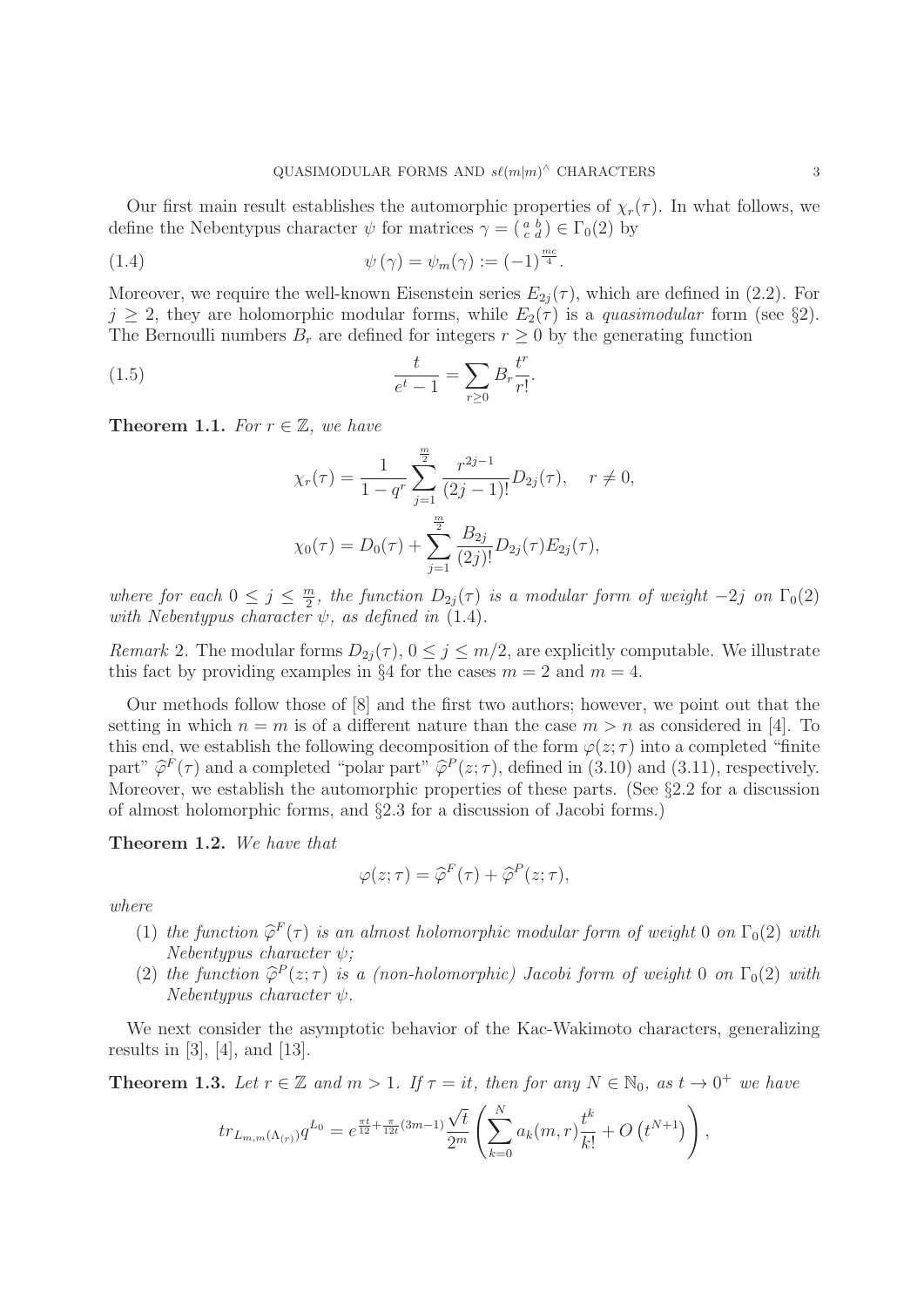Our first main result establishes the automorphic properties of  $\chi_r(\tau)$ . In what follows, we define the Nebentypus character  $\psi$  for matrices  $\gamma = \begin{pmatrix} a & b \\ c & d \end{pmatrix} \in \Gamma_0(2)$  by

(1.4) 
$$
\psi(\gamma) = \psi_m(\gamma) := (-1)^{\frac{mc}{4}}.
$$

Moreover, we require the well-known Eisenstein series  $E_{2i}(\tau)$ , which are defined in (2.2). For  $j \geq 2$ , they are holomorphic modular forms, while  $E_2(\tau)$  is a *quasimodular* form (see §2). The Bernoulli numbers  $B_r$  are defined for integers  $r \geq 0$  by the generating function

(1.5) 
$$
\frac{t}{e^t - 1} = \sum_{r \ge 0} B_r \frac{t^r}{r!}.
$$

**Theorem 1.1.** For  $r \in \mathbb{Z}$ , we have

$$
\chi_r(\tau) = \frac{1}{1 - q^r} \sum_{j=1}^{\frac{m}{2}} \frac{r^{2j-1}}{(2j-1)!} D_{2j}(\tau), \quad r \neq 0,
$$
  

$$
\chi_0(\tau) = D_0(\tau) + \sum_{j=1}^{\frac{m}{2}} \frac{B_{2j}}{(2j)!} D_{2j}(\tau) E_{2j}(\tau),
$$

where for each  $0 \leq j \leq \frac{m}{2}$ , the function  $D_{2j}(\tau)$  is a modular form of weight  $-2j$  on  $\Gamma_0(2)$ with Nebentypus character  $\psi$ , as defined in (1.4).

Remark 2. The modular forms  $D_{2j}(\tau)$ ,  $0 \le j \le m/2$ , are explicitly computable. We illustrate this fact by providing examples in §4 for the cases  $m = 2$  and  $m = 4$ .

Our methods follow those of [8] and the first two authors; however, we point out that the setting in which  $n = m$  is of a different nature than the case  $m > n$  as considered in [4]. To this end, we establish the following decomposition of the form  $\varphi(z;\tau)$  into a completed "finite" part"  $\hat{\varphi}^F(\tau)$  and a completed "polar part"  $\hat{\varphi}^P(z;\tau)$ , defined in (3.10) and (3.11), respectively. Moreover, we establish the automorphic properties of these parts. (See §2.2 for a discussion of almost holomorphic forms, and §2.3 for a discussion of Jacobi forms.)

**Theorem 1.2.** We have that

$$
\varphi(z;\tau) = \widehat{\varphi}^F(\tau) + \widehat{\varphi}^P(z;\tau),
$$

where

- (1) the function  $\widehat{\varphi}^F(\tau)$  is an almost holomorphic modular form of weight 0 on  $\Gamma_0(2)$  with  $Nebentypus$  character  $\psi$ ;
- (2) the function  $\hat{\varphi}^P(z;\tau)$  is a (non-holomorphic) Jacobi form of weight 0 on  $\Gamma_0(2)$  with  $Nebentupus character \psi.$

We next consider the asymptotic behavior of the Kac-Wakimoto characters, generalizing results in [3], [4], and [13].

**Theorem 1.3.** Let  $r \in \mathbb{Z}$  and  $m > 1$ . If  $\tau = it$ , then for any  $N \in \mathbb{N}_0$ , as  $t \to 0^+$  we have

$$
tr_{L_{m,m}(\Lambda_{(r)})} q^{L_0} = e^{\frac{\pi t}{12} + \frac{\pi}{12t}(3m-1)} \frac{\sqrt{t}}{2^m} \left( \sum_{k=0}^N a_k(m,r) \frac{t^k}{k!} + O\left(t^{N+1}\right) \right),
$$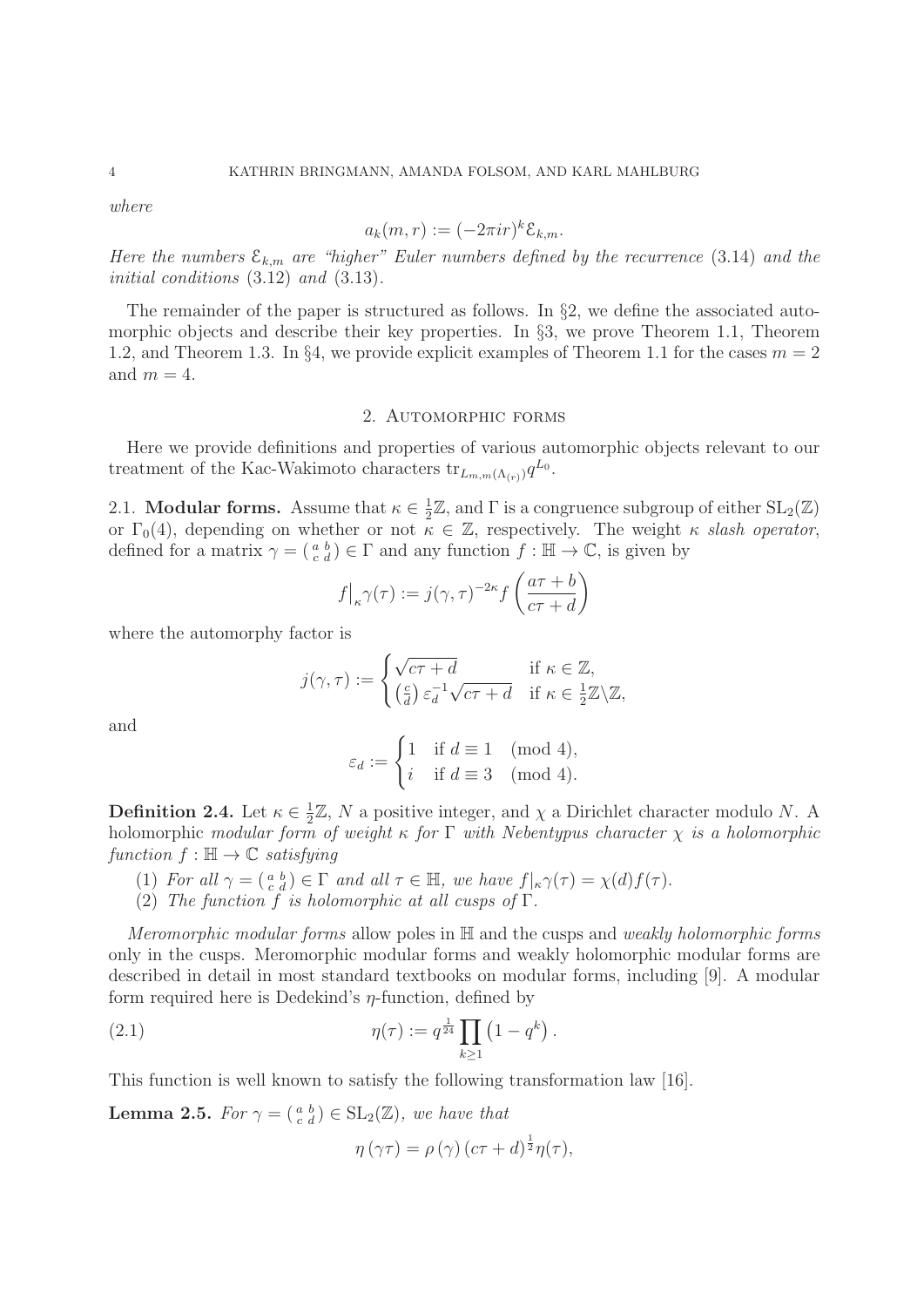where

$$
a_k(m,r) := (-2\pi i r)^k \mathcal{E}_{k,m}.
$$

Here the numbers  $\mathcal{E}_{k,m}$  are "higher" Euler numbers defined by the recurrence (3.14) and the initial conditions (3.12) and (3.13).

The remainder of the paper is structured as follows. In §2, we define the associated automorphic objects and describe their key properties. In  $\S$ 3, we prove Theorem 1.1, Theorem 1.2, and Theorem 1.3. In §4, we provide explicit examples of Theorem 1.1 for the cases  $m = 2$ and  $m = 4$ .

#### 2. Automorphic forms

Here we provide definitions and properties of various automorphic objects relevant to our treatment of the Kac-Wakimoto characters  $\text{tr}_{L_{m,m}(\Lambda_{(r)})}q^{L_0}$ .

2.1. **Modular forms.** Assume that  $\kappa \in \frac{1}{2}\mathbb{Z}$ , and  $\Gamma$  is a congruence subgroup of either  $SL_2(\mathbb{Z})$ or  $\Gamma_0(4)$ , depending on whether or not  $\kappa \in \mathbb{Z}$ , respectively. The weight  $\kappa$  slash operator, defined for a matrix  $\gamma = \begin{pmatrix} a & b \\ c & d \end{pmatrix} \in \Gamma$  and any function  $f : \mathbb{H} \to \mathbb{C}$ , is given by

$$
f\big|_{\kappa}\gamma(\tau) := j(\gamma,\tau)^{-2\kappa} f\left(\frac{a\tau + b}{c\tau + d}\right)
$$

where the automorphy factor is

$$
j(\gamma, \tau) := \begin{cases} \sqrt{c\tau + d} & \text{if } \kappa \in \mathbb{Z}, \\ \left(\frac{c}{d}\right) \varepsilon_d^{-1} \sqrt{c\tau + d} & \text{if } \kappa \in \frac{1}{2}\mathbb{Z} \backslash \mathbb{Z}, \end{cases}
$$

and

$$
\varepsilon_d := \begin{cases} 1 & \text{if } d \equiv 1 \pmod{4}, \\ i & \text{if } d \equiv 3 \pmod{4}. \end{cases}
$$

**Definition 2.4.** Let  $\kappa \in \frac{1}{2}\mathbb{Z}$ , N a positive integer, and  $\chi$  a Dirichlet character modulo N. A holomorphic modular form of weight  $\kappa$  for  $\Gamma$  with Nebentypus character  $\chi$  is a holomorphic function  $f : \mathbb{H} \to \mathbb{C}$  satisfying

- (1) For all  $\gamma = \begin{pmatrix} a & b \\ c & d \end{pmatrix} \in \Gamma$  and all  $\tau \in \mathbb{H}$ , we have  $f|_{\kappa}\gamma(\tau) = \chi(d)f(\tau)$ .
- (2) The function f is holomorphic at all cusps of  $\Gamma$ .

Meromorphic modular forms allow poles in H and the cusps and weakly holomorphic forms only in the cusps. Meromorphic modular forms and weakly holomorphic modular forms are described in detail in most standard textbooks on modular forms, including [9]. A modular form required here is Dedekind's  $\eta$ -function, defined by

(2.1) 
$$
\eta(\tau) := q^{\frac{1}{24}} \prod_{k \ge 1} (1 - q^k) .
$$

This function is well known to satisfy the following transformation law [16].

**Lemma 2.5.** For  $\gamma = \begin{pmatrix} a & b \\ c & d \end{pmatrix} \in SL_2(\mathbb{Z})$ , we have that

$$
\eta\left(\gamma\tau\right) = \rho\left(\gamma\right)\left(c\tau + d\right)^{\frac{1}{2}}\eta(\tau),
$$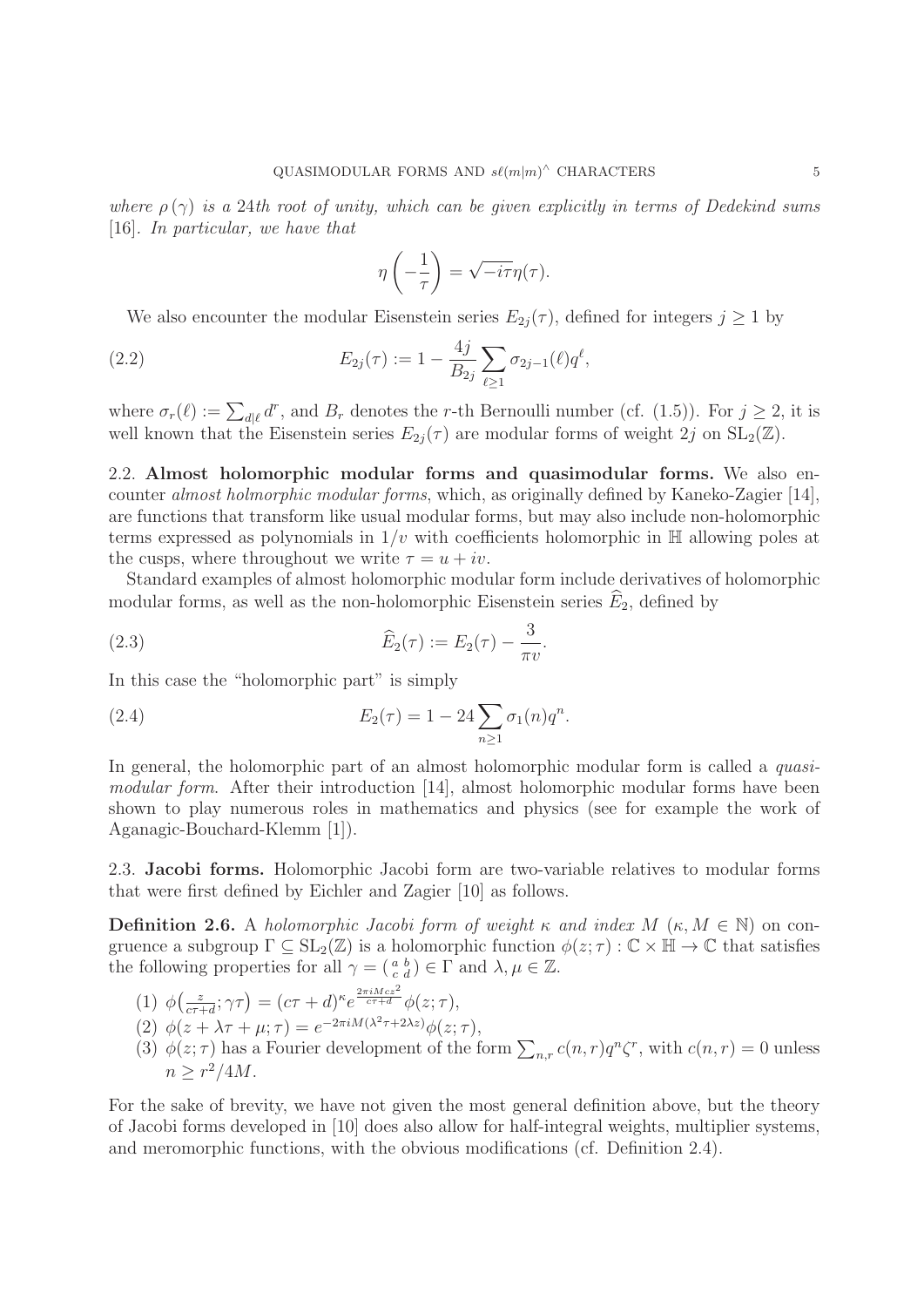where  $\rho(\gamma)$  is a 24th root of unity, which can be given explicitly in terms of Dedekind sums [16]. In particular, we have that

$$
\eta\left(-\frac{1}{\tau}\right) = \sqrt{-i\tau}\eta(\tau).
$$

We also encounter the modular Eisenstein series  $E_{2i}(\tau)$ , defined for integers  $j \geq 1$  by

(2.2) 
$$
E_{2j}(\tau) := 1 - \frac{4j}{B_{2j}} \sum_{\ell \geq 1} \sigma_{2j-1}(\ell) q^{\ell},
$$

where  $\sigma_r(\ell) := \sum_{d|\ell} d^r$ , and  $B_r$  denotes the r-th Bernoulli number (cf. (1.5)). For  $j \geq 2$ , it is well known that the Eisenstein series  $E_{2j}(\tau)$  are modular forms of weight 2j on  $SL_2(\mathbb{Z})$ .

2.2. **Almost holomorphic modular forms and quasimodular forms.** We also encounter almost holmorphic modular forms, which, as originally defined by Kaneko-Zagier [14], are functions that transform like usual modular forms, but may also include non-holomorphic terms expressed as polynomials in  $1/v$  with coefficients holomorphic in  $\mathbb H$  allowing poles at the cusps, where throughout we write  $\tau = u + iv$ .

Standard examples of almost holomorphic modular form include derivatives of holomorphic modular forms, as well as the non-holomorphic Eisenstein series  $\widehat{E}_2$ , defined by

(2.3) 
$$
\widehat{E}_2(\tau) := E_2(\tau) - \frac{3}{\pi v}.
$$

In this case the "holomorphic part" is simply

(2.4) 
$$
E_2(\tau) = 1 - 24 \sum_{n \ge 1} \sigma_1(n) q^n.
$$

In general, the holomorphic part of an almost holomorphic modular form is called a *quasi*modular form. After their introduction [14], almost holomorphic modular forms have been shown to play numerous roles in mathematics and physics (see for example the work of Aganagic-Bouchard-Klemm [1]).

2.3. **Jacobi forms.** Holomorphic Jacobi form are two-variable relatives to modular forms that were first defined by Eichler and Zagier [10] as follows.

**Definition 2.6.** A holomorphic Jacobi form of weight  $\kappa$  and index  $M$  ( $\kappa, M \in \mathbb{N}$ ) on congruence a subgroup  $\Gamma \subseteq SL_2(\mathbb{Z})$  is a holomorphic function  $\phi(z;\tau) : \mathbb{C} \times \mathbb{H} \to \mathbb{C}$  that satisfies the following properties for all  $\gamma = \begin{pmatrix} a & b \\ c & d \end{pmatrix} \in \Gamma$  and  $\lambda, \mu \in \mathbb{Z}$ .

- (1)  $\phi\left(\frac{z}{c\tau+d};\gamma\tau\right) = (c\tau+d)^{\kappa}e^{\frac{2\pi i M c z^2}{c\tau+d}}\phi(z;\tau),$
- (2)  $\phi(z + \lambda \tau + \mu; \tau) = e^{-2\pi i M(\lambda^2 \tau + 2\lambda z)} \phi(z; \tau),$
- (3)  $\phi(z;\tau)$  has a Fourier development of the form  $\sum_{n,r} c(n,r)q^n\zeta^r$ , with  $c(n,r) = 0$  unless  $n > r^2/4M$ .

For the sake of brevity, we have not given the most general definition above, but the theory of Jacobi forms developed in [10] does also allow for half-integral weights, multiplier systems, and meromorphic functions, with the obvious modifications (cf. Definition 2.4).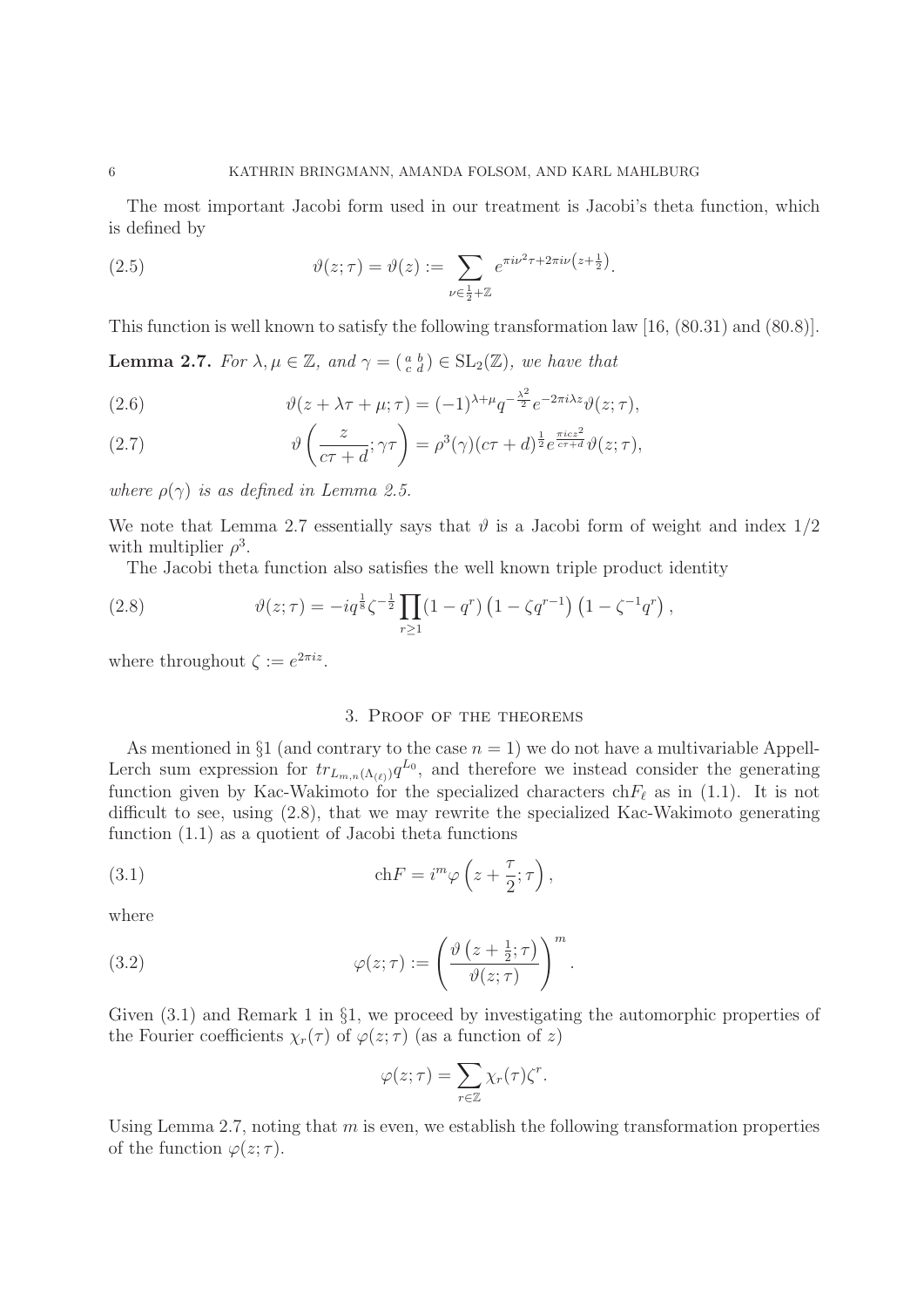The most important Jacobi form used in our treatment is Jacobi's theta function, which is defined by

(2.5) 
$$
\vartheta(z;\tau) = \vartheta(z) := \sum_{\nu \in \frac{1}{2} + \mathbb{Z}} e^{\pi i \nu^2 \tau + 2\pi i \nu (z + \frac{1}{2})}.
$$

This function is well known to satisfy the following transformation law [16, (80.31) and (80.8)].

**Lemma 2.7.** For  $\lambda, \mu \in \mathbb{Z}$ , and  $\gamma = \begin{pmatrix} a & b \\ c & d \end{pmatrix} \in SL_2(\mathbb{Z})$ , we have that

(2.6) 
$$
\vartheta(z + \lambda \tau + \mu; \tau) = (-1)^{\lambda + \mu} q^{-\frac{\lambda^2}{2}} e^{-2\pi i \lambda z} \vartheta(z; \tau),
$$

(2.7) 
$$
\vartheta\left(\frac{z}{c\tau+d};\gamma\tau\right) = \rho^3(\gamma)(c\tau+d)^{\frac{1}{2}}e^{\frac{\pi icz^2}{c\tau+d}}\vartheta(z;\tau),
$$

where  $\rho(\gamma)$  is as defined in Lemma 2.5.

We note that Lemma 2.7 essentially says that  $\vartheta$  is a Jacobi form of weight and index  $1/2$ with multiplier  $\rho^3$ .

The Jacobi theta function also satisfies the well known triple product identity

(2.8) 
$$
\vartheta(z;\tau) = -iq^{\frac{1}{8}}\zeta^{-\frac{1}{2}}\prod_{r\geq 1} (1-q^r)\left(1-\zeta q^{r-1}\right)\left(1-\zeta^{-1}q^r\right),
$$

where throughout  $\zeta := e^{2\pi i z}$ .

### 3. Proof of the theorems

As mentioned in §1 (and contrary to the case  $n = 1$ ) we do not have a multivariable Appell-Lerch sum expression for  $tr_{L_{m,n}(\Lambda_{(\ell)})}q^{L_0}$ , and therefore we instead consider the generating function given by Kac-Wakimoto for the specialized characters ch $F_{\ell}$  as in (1.1). It is not difficult to see, using (2.8), that we may rewrite the specialized Kac-Wakimoto generating function (1.1) as a quotient of Jacobi theta functions

(3.1) 
$$
\operatorname{ch} F = i^m \varphi \left( z + \frac{\tau}{2}; \tau \right),
$$

where

(3.2) 
$$
\varphi(z;\tau) := \left(\frac{\vartheta\left(z+\frac{1}{2};\tau\right)}{\vartheta(z;\tau)}\right)^m.
$$

Given  $(3.1)$  and Remark 1 in §1, we proceed by investigating the automorphic properties of the Fourier coefficients  $\chi_r(\tau)$  of  $\varphi(z;\tau)$  (as a function of z)

$$
\varphi(z;\tau) = \sum_{r \in \mathbb{Z}} \chi_r(\tau) \zeta^r.
$$

Using Lemma 2.7, noting that  $m$  is even, we establish the following transformation properties of the function  $\varphi(z;\tau)$ .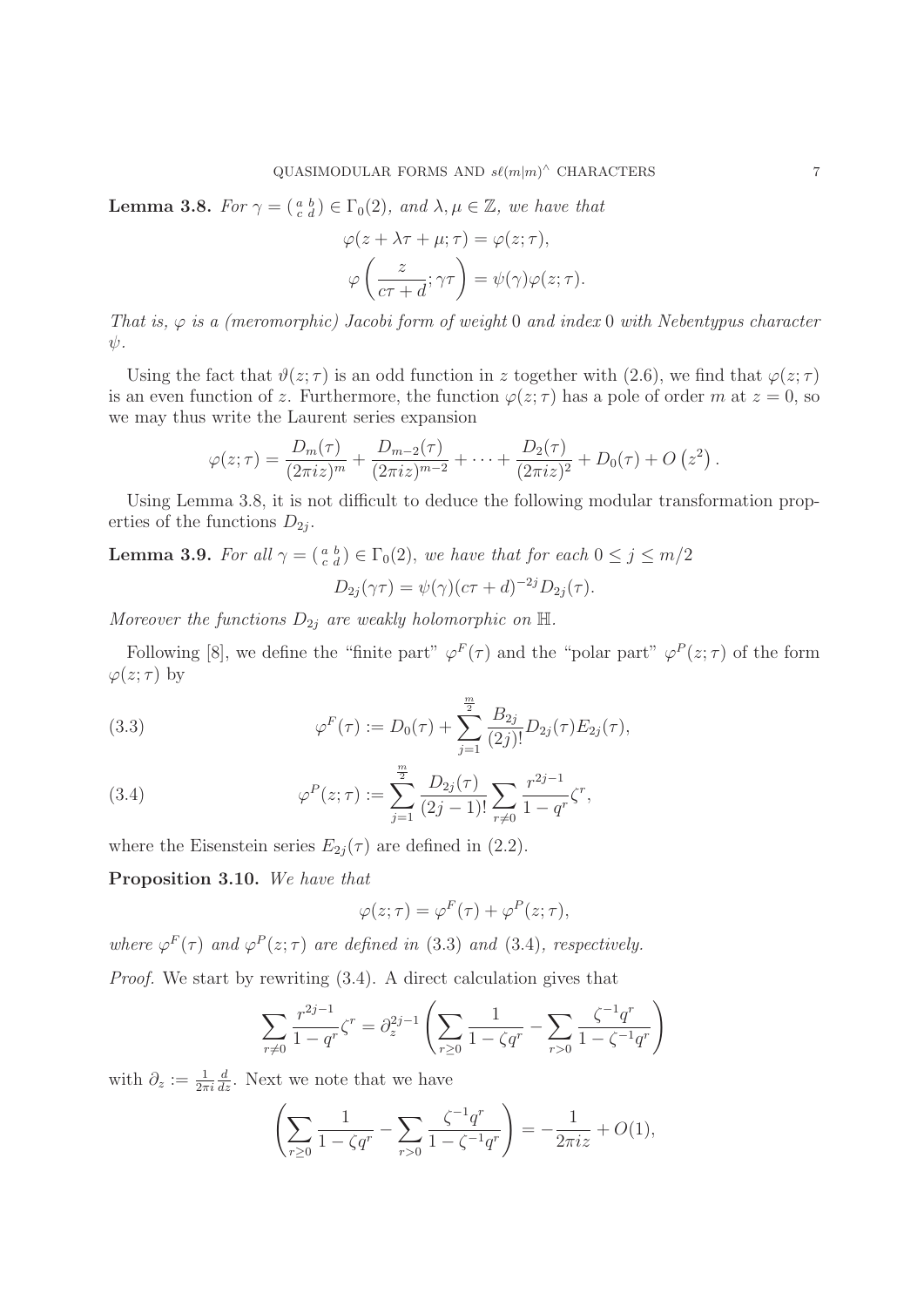**Lemma 3.8.** For  $\gamma = \begin{pmatrix} a & b \\ c & d \end{pmatrix} \in \Gamma_0(2)$ , and  $\lambda, \mu \in \mathbb{Z}$ , we have that

$$
\varphi(z + \lambda \tau + \mu; \tau) = \varphi(z; \tau),
$$

$$
\varphi\left(\frac{z}{c\tau + d}; \gamma \tau\right) = \psi(\gamma)\varphi(z; \tau).
$$

That is,  $\varphi$  is a (meromorphic) Jacobi form of weight 0 and index 0 with Nebentypus character  $\psi$ .

Using the fact that  $\vartheta(z;\tau)$  is an odd function in z together with (2.6), we find that  $\varphi(z;\tau)$ is an even function of z. Furthermore, the function  $\varphi(z;\tau)$  has a pole of order m at  $z=0$ , so we may thus write the Laurent series expansion

$$
\varphi(z;\tau) = \frac{D_m(\tau)}{(2\pi i z)^m} + \frac{D_{m-2}(\tau)}{(2\pi i z)^{m-2}} + \cdots + \frac{D_2(\tau)}{(2\pi i z)^2} + D_0(\tau) + O(z^2).
$$

Using Lemma 3.8, it is not difficult to deduce the following modular transformation properties of the functions  $D_{2i}$ .

**Lemma 3.9.** For all  $\gamma = \begin{pmatrix} a & b \\ c & d \end{pmatrix} \in \Gamma_0(2)$ , we have that for each  $0 \le j \le m/2$ 

$$
D_{2j}(\gamma \tau) = \psi(\gamma)(c\tau + d)^{-2j} D_{2j}(\tau).
$$

Moreover the functions  $D_{2i}$  are weakly holomorphic on  $\mathbb{H}$ .

Following [8], we define the "finite part"  $\varphi^F(\tau)$  and the "polar part"  $\varphi^P(z;\tau)$  of the form  $\varphi(z;\tau)$  by

(3.3) 
$$
\varphi^F(\tau) := D_0(\tau) + \sum_{j=1}^{\frac{m}{2}} \frac{B_{2j}}{(2j)!} D_{2j}(\tau) E_{2j}(\tau),
$$

(3.4) 
$$
\varphi^{P}(z;\tau) := \sum_{j=1}^{\frac{m}{2}} \frac{D_{2j}(\tau)}{(2j-1)!} \sum_{r \neq 0} \frac{r^{2j-1}}{1-q^r} \zeta^{r},
$$

where the Eisenstein series  $E_{2j}(\tau)$  are defined in (2.2).

**Proposition 3.10.** We have that

$$
\varphi(z;\tau) = \varphi^F(\tau) + \varphi^P(z;\tau),
$$

where  $\varphi^F(\tau)$  and  $\varphi^P(z;\tau)$  are defined in (3.3) and (3.4), respectively. Proof. We start by rewriting (3.4). A direct calculation gives that

$$
\sum_{r \neq 0} \frac{r^{2j-1}}{1-q^r} \zeta^r = \partial_z^{2j-1} \left( \sum_{r \geq 0} \frac{1}{1-\zeta q^r} - \sum_{r > 0} \frac{\zeta^{-1} q^r}{1-\zeta^{-1} q^r} \right)
$$

with  $\partial_z := \frac{1}{2\pi i}$  $\frac{d}{dz}$ . Next we note that we have

$$
\left(\sum_{r\geq 0} \frac{1}{1 - \zeta q^r} - \sum_{r>0} \frac{\zeta^{-1} q^r}{1 - \zeta^{-1} q^r}\right) = -\frac{1}{2\pi i z} + O(1),
$$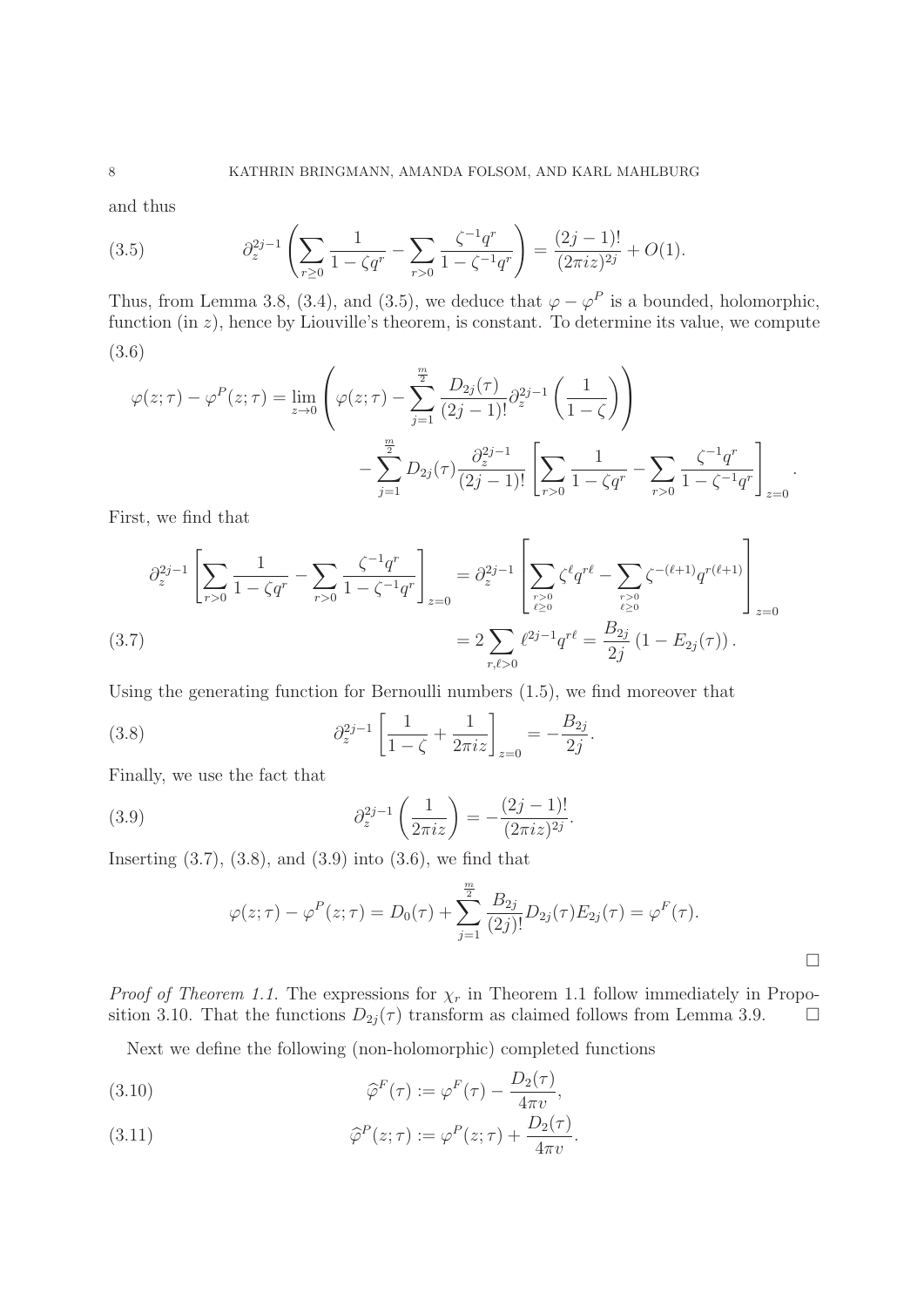and thus

(3.5) 
$$
\partial_z^{2j-1} \left( \sum_{r\geq 0} \frac{1}{1 - \zeta q^r} - \sum_{r>0} \frac{\zeta^{-1} q^r}{1 - \zeta^{-1} q^r} \right) = \frac{(2j-1)!}{(2\pi i z)^{2j}} + O(1).
$$

Thus, from Lemma 3.8, (3.4), and (3.5), we deduce that  $\varphi - \varphi^P$  is a bounded, holomorphic, function (in  $z$ ), hence by Liouville's theorem, is constant. To determine its value, we compute (3.6)

$$
\varphi(z;\tau) - \varphi^{P}(z;\tau) = \lim_{z \to 0} \left( \varphi(z;\tau) - \sum_{j=1}^{\frac{m}{2}} \frac{D_{2j}(\tau)}{(2j-1)!} \partial_{z}^{2j-1} \left( \frac{1}{1-\zeta} \right) \right)
$$

$$
- \sum_{j=1}^{\frac{m}{2}} D_{2j}(\tau) \frac{\partial_{z}^{2j-1}}{(2j-1)!} \left[ \sum_{r>0} \frac{1}{1-\zeta q^{r}} - \sum_{r>0} \frac{\zeta^{-1}q^{r}}{1-\zeta^{-1}q^{r}} \right]_{z=0}.
$$

First, we find that

$$
\partial_z^{2j-1} \left[ \sum_{r>0} \frac{1}{1 - \zeta q^r} - \sum_{r>0} \frac{\zeta^{-1} q^r}{1 - \zeta^{-1} q^r} \right]_{z=0} = \partial_z^{2j-1} \left[ \sum_{\substack{r>0 \ \ell \ge 0}} \zeta^\ell q^{r\ell} - \sum_{\substack{r>0 \ \ell \ge 0}} \zeta^{-(\ell+1)} q^{r(\ell+1)} \right]_{z=0}
$$
\n
$$
= 2 \sum_{r,\ell>0} \ell^{2j-1} q^{r\ell} = \frac{B_{2j}}{2j} \left( 1 - E_{2j}(\tau) \right).
$$

Using the generating function for Bernoulli numbers (1.5), we find moreover that

(3.8) 
$$
\partial_z^{2j-1} \left[ \frac{1}{1-\zeta} + \frac{1}{2\pi i z} \right]_{z=0} = -\frac{B_{2j}}{2j}.
$$

Finally, we use the fact that

(3.9) 
$$
\partial_z^{2j-1}\left(\frac{1}{2\pi iz}\right) = -\frac{(2j-1)!}{(2\pi iz)^{2j}}.
$$

Inserting  $(3.7), (3.8),$  and  $(3.9)$  into  $(3.6),$  we find that

$$
\varphi(z;\tau) - \varphi^{P}(z;\tau) = D_0(\tau) + \sum_{j=1}^{\frac{m}{2}} \frac{B_{2j}}{(2j)!} D_{2j}(\tau) E_{2j}(\tau) = \varphi^{F}(\tau).
$$

*Proof of Theorem 1.1.* The expressions for  $\chi_r$  in Theorem 1.1 follow immediately in Proposition 3.10. That the functions  $D_{2j}(\tau)$  transform as claimed follows from Lemma 3.9.  $\Box$ 

Next we define the following (non-holomorphic) completed functions

(3.10) 
$$
\widehat{\varphi}^F(\tau) := \varphi^F(\tau) - \frac{D_2(\tau)}{4\pi v},
$$

(3.11) 
$$
\widehat{\varphi}^P(z;\tau) := \varphi^P(z;\tau) + \frac{D_2(\tau)}{4\pi v}.
$$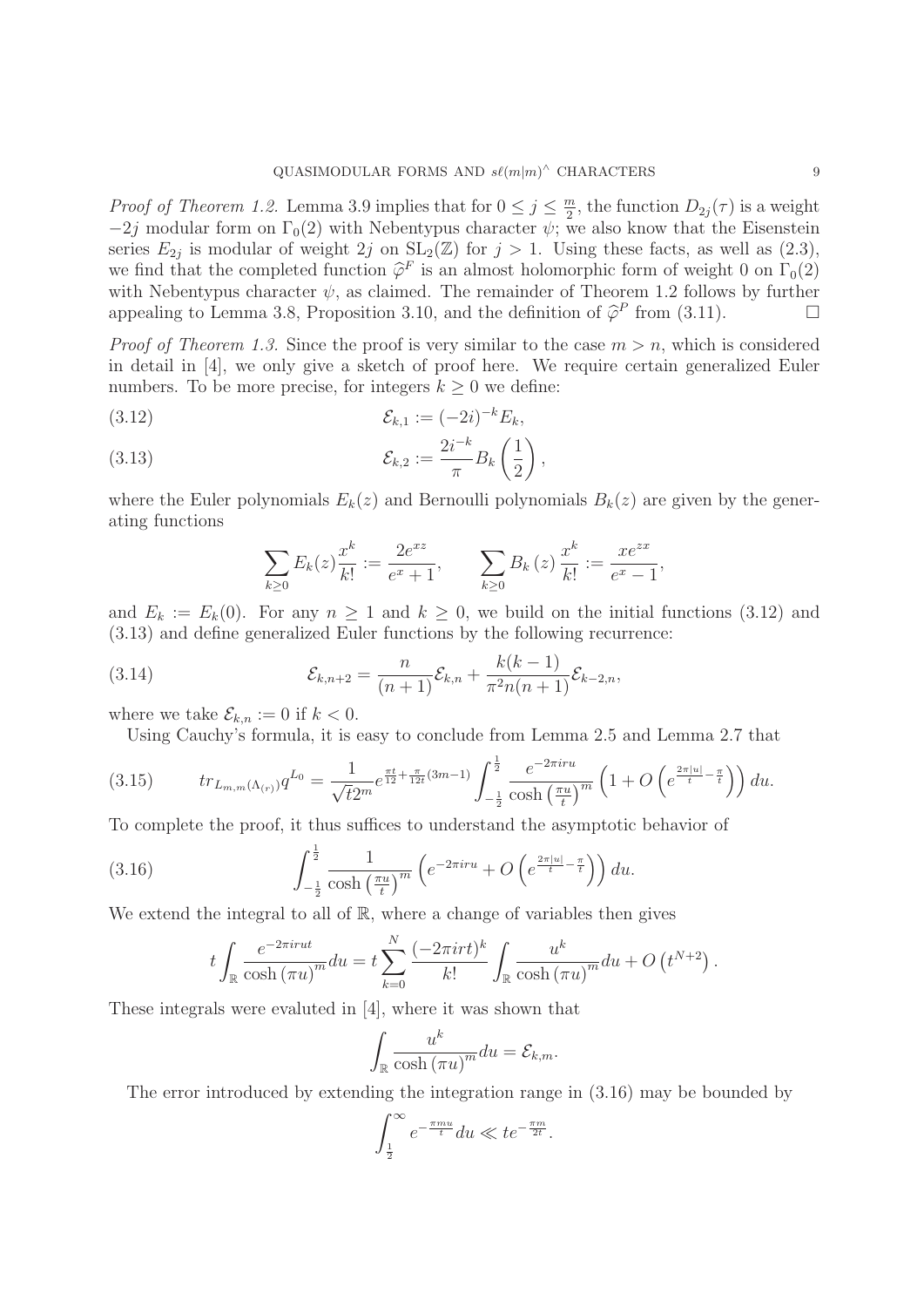*Proof of Theorem 1.2.* Lemma 3.9 implies that for  $0 \le j \le \frac{m}{2}$ , the function  $D_{2j}(\tau)$  is a weight  $-2j$  modular form on  $\Gamma_0(2)$  with Nebentypus character  $\psi$ ; we also know that the Eisenstein series  $E_{2j}$  is modular of weight 2j on  $SL_2(\mathbb{Z})$  for  $j > 1$ . Using these facts, as well as  $(2.3)$ , we find that the completed function  $\hat{\varphi}^F$  is an almost holomorphic form of weight 0 on  $\Gamma_0(2)$ with Nebentypus character  $\psi$ , as claimed. The remainder of Theorem 1.2 follows by further appealing to Lemma 3.8, Proposition 3.10, and the definition of  $\hat{\varphi}^P$  from (3.11).

*Proof of Theorem 1.3.* Since the proof is very similar to the case  $m>n$ , which is considered in detail in [4], we only give a sketch of proof here. We require certain generalized Euler numbers. To be more precise, for integers  $k \geq 0$  we define:

(3.12) 
$$
\mathcal{E}_{k,1} := (-2i)^{-k} E_k,
$$

(3.13) 
$$
\mathcal{E}_{k,2} := \frac{2i^{-k}}{\pi} B_k \left( \frac{1}{2} \right),
$$

where the Euler polynomials  $E_k(z)$  and Bernoulli polynomials  $B_k(z)$  are given by the generating functions

$$
\sum_{k\geq 0} E_k(z) \frac{x^k}{k!} := \frac{2e^{xz}}{e^x + 1}, \qquad \sum_{k\geq 0} B_k(z) \frac{x^k}{k!} := \frac{xe^{zx}}{e^x - 1},
$$

and  $E_k := E_k(0)$ . For any  $n \ge 1$  and  $k \ge 0$ , we build on the initial functions (3.12) and (3.13) and define generalized Euler functions by the following recurrence:

(3.14) 
$$
\mathcal{E}_{k,n+2} = \frac{n}{(n+1)} \mathcal{E}_{k,n} + \frac{k(k-1)}{\pi^2 n(n+1)} \mathcal{E}_{k-2,n},
$$

where we take  $\mathcal{E}_{k,n} := 0$  if  $k < 0$ .

Using Cauchy's formula, it is easy to conclude from Lemma 2.5 and Lemma 2.7 that

$$
(3.15) \t tr_{L_{m,m}(\Lambda_{(r)})} q^{L_0} = \frac{1}{\sqrt{t}2^m} e^{\frac{\pi t}{12} + \frac{\pi}{12t}(3m-1)} \int_{-\frac{1}{2}}^{\frac{1}{2}} \frac{e^{-2\pi i ru}}{\cosh\left(\frac{\pi u}{t}\right)^m} \left(1 + O\left(e^{\frac{2\pi |u|}{t} - \frac{\pi}{t}}\right)\right) du.
$$

To complete the proof, it thus suffices to understand the asymptotic behavior of

(3.16) 
$$
\int_{-\frac{1}{2}}^{\frac{1}{2}} \frac{1}{\cosh\left(\frac{\pi u}{t}\right)^m} \left(e^{-2\pi i r u} + O\left(e^{\frac{2\pi |u|}{t} - \frac{\pi}{t}}\right)\right) du.
$$

We extend the integral to all of  $\mathbb{R}$ , where a change of variables then gives

$$
t\int_{\mathbb{R}}\frac{e^{-2\pi i rut}}{\cosh\left(\pi u\right)^{m}}du=t\sum_{k=0}^{N}\frac{(-2\pi i r t)^{k}}{k!}\int_{\mathbb{R}}\frac{u^{k}}{\cosh\left(\pi u\right)^{m}}du+O\left(t^{N+2}\right).
$$

These integrals were evaluted in [4], where it was shown that

$$
\int_{\mathbb{R}} \frac{u^k}{\cosh(\pi u)^m} du = \mathcal{E}_{k,m}.
$$

The error introduced by extending the integration range in (3.16) may be bounded by

$$
\int_{\frac{1}{2}}^{\infty} e^{-\frac{\pi m u}{t}} du \ll t e^{-\frac{\pi m}{2t}}.
$$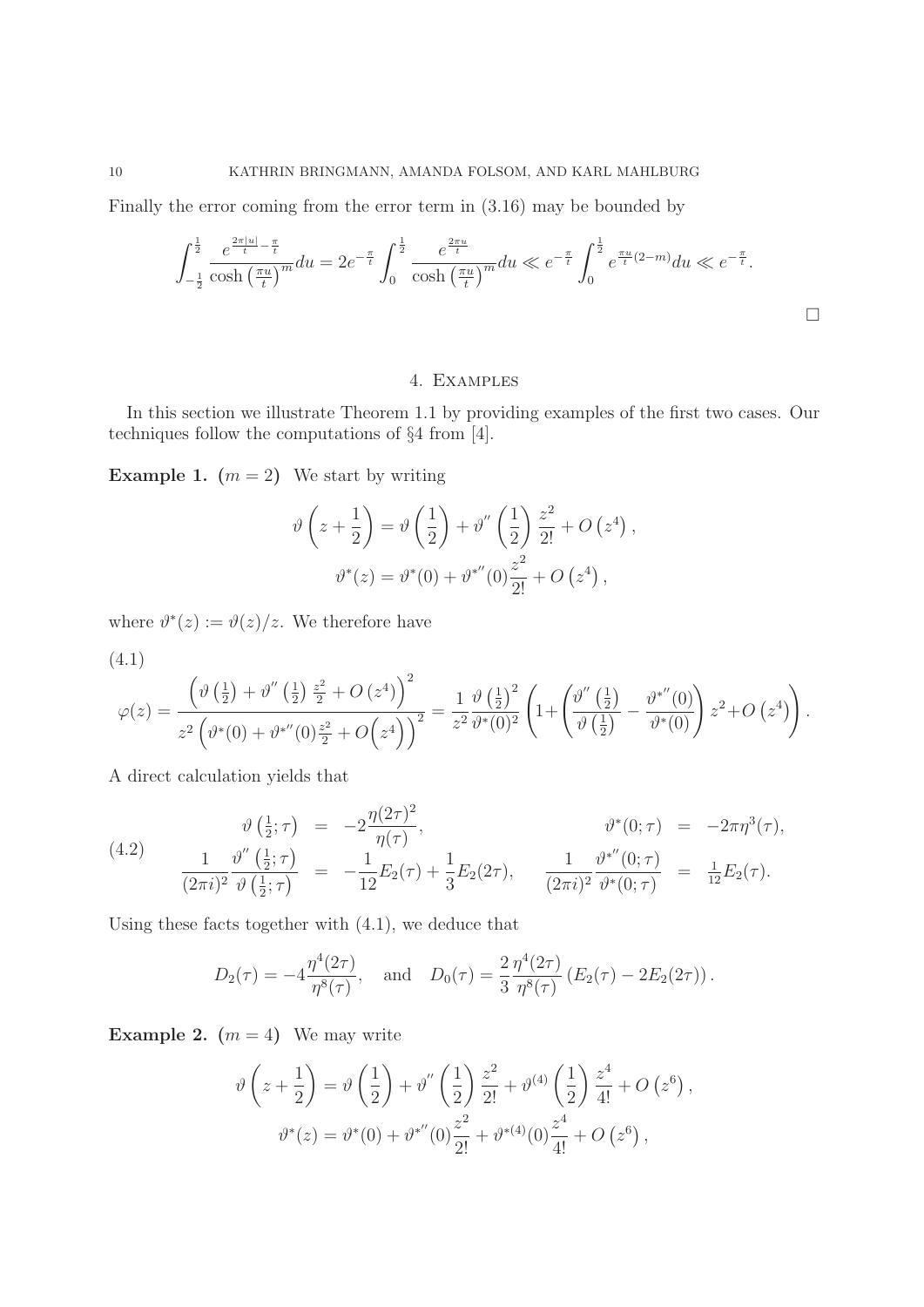Finally the error coming from the error term in (3.16) may be bounded by

$$
\int_{-\frac{1}{2}}^{\frac{1}{2}} \frac{e^{\frac{2\pi|u|}{t} - \frac{\pi}{t}}}{\cosh\left(\frac{\pi u}{t}\right)^m} du = 2e^{-\frac{\pi}{t}} \int_0^{\frac{1}{2}} \frac{e^{\frac{2\pi u}{t}}}{\cosh\left(\frac{\pi u}{t}\right)^m} du \ll e^{-\frac{\pi}{t}} \int_0^{\frac{1}{2}} e^{\frac{\pi u}{t}(2-m)} du \ll e^{-\frac{\pi}{t}}.
$$

## 4. Examples

In this section we illustrate Theorem 1.1 by providing examples of the first two cases. Our techniques follow the computations of §4 from [4].

**Example 1.**  $(m = 2)$  We start by writing

$$
\vartheta\left(z+\frac{1}{2}\right) = \vartheta\left(\frac{1}{2}\right) + \vartheta''\left(\frac{1}{2}\right)\frac{z^2}{2!} + O\left(z^4\right),
$$

$$
\vartheta^*(z) = \vartheta^*(0) + \vartheta^{*''}(0)\frac{z^2}{2!} + O\left(z^4\right),
$$

where  $\vartheta^*(z) := \vartheta(z)/z$ . We therefore have

$$
(4.1)
$$

$$
\varphi(z) = \frac{\left(\vartheta\left(\frac{1}{2}\right) + \vartheta''\left(\frac{1}{2}\right)\frac{z^2}{2} + O\left(z^4\right)\right)^2}{z^2 \left(\vartheta^*(0) + \vartheta^{*\prime\prime}(0)\frac{z^2}{2} + O\left(z^4\right)\right)^2} = \frac{1}{z^2} \frac{\vartheta\left(\frac{1}{2}\right)^2}{\vartheta^*(0)^2} \left(1 + \left(\frac{\vartheta''\left(\frac{1}{2}\right)}{\vartheta\left(\frac{1}{2}\right)} - \frac{\vartheta^{*\prime\prime}(0)}{\vartheta^*(0)}\right) z^2 + O\left(z^4\right)\right).
$$

A direct calculation yields that

(4.2) 
$$
\vartheta\left(\frac{1}{2};\tau\right) = -2\frac{\eta(2\tau)^2}{\eta(\tau)}, \qquad \vartheta^*(0;\tau) = -2\pi\eta^3(\tau), \n\frac{1}{(2\pi i)^2}\frac{\vartheta''\left(\frac{1}{2};\tau\right)}{\vartheta\left(\frac{1}{2};\tau\right)} = -\frac{1}{12}E_2(\tau) + \frac{1}{3}E_2(2\tau), \qquad \frac{1}{(2\pi i)^2}\frac{\vartheta^{*''}(0;\tau)}{\vartheta^{*}(0;\tau)} = \frac{1}{12}E_2(\tau).
$$

Using these facts together with (4.1), we deduce that

$$
D_2(\tau) = -4 \frac{\eta^4(2\tau)}{\eta^8(\tau)},
$$
 and  $D_0(\tau) = \frac{2}{3} \frac{\eta^4(2\tau)}{\eta^8(\tau)} (E_2(\tau) - 2E_2(2\tau)).$ 

**Example 2.**  $(m = 4)$  We may write

$$
\vartheta\left(z+\frac{1}{2}\right) = \vartheta\left(\frac{1}{2}\right) + \vartheta''\left(\frac{1}{2}\right)\frac{z^2}{2!} + \vartheta^{(4)}\left(\frac{1}{2}\right)\frac{z^4}{4!} + O\left(z^6\right),
$$
  

$$
\vartheta^*(z) = \vartheta^*(0) + \vartheta^{*''}(0)\frac{z^2}{2!} + \vartheta^{*(4)}(0)\frac{z^4}{4!} + O\left(z^6\right),
$$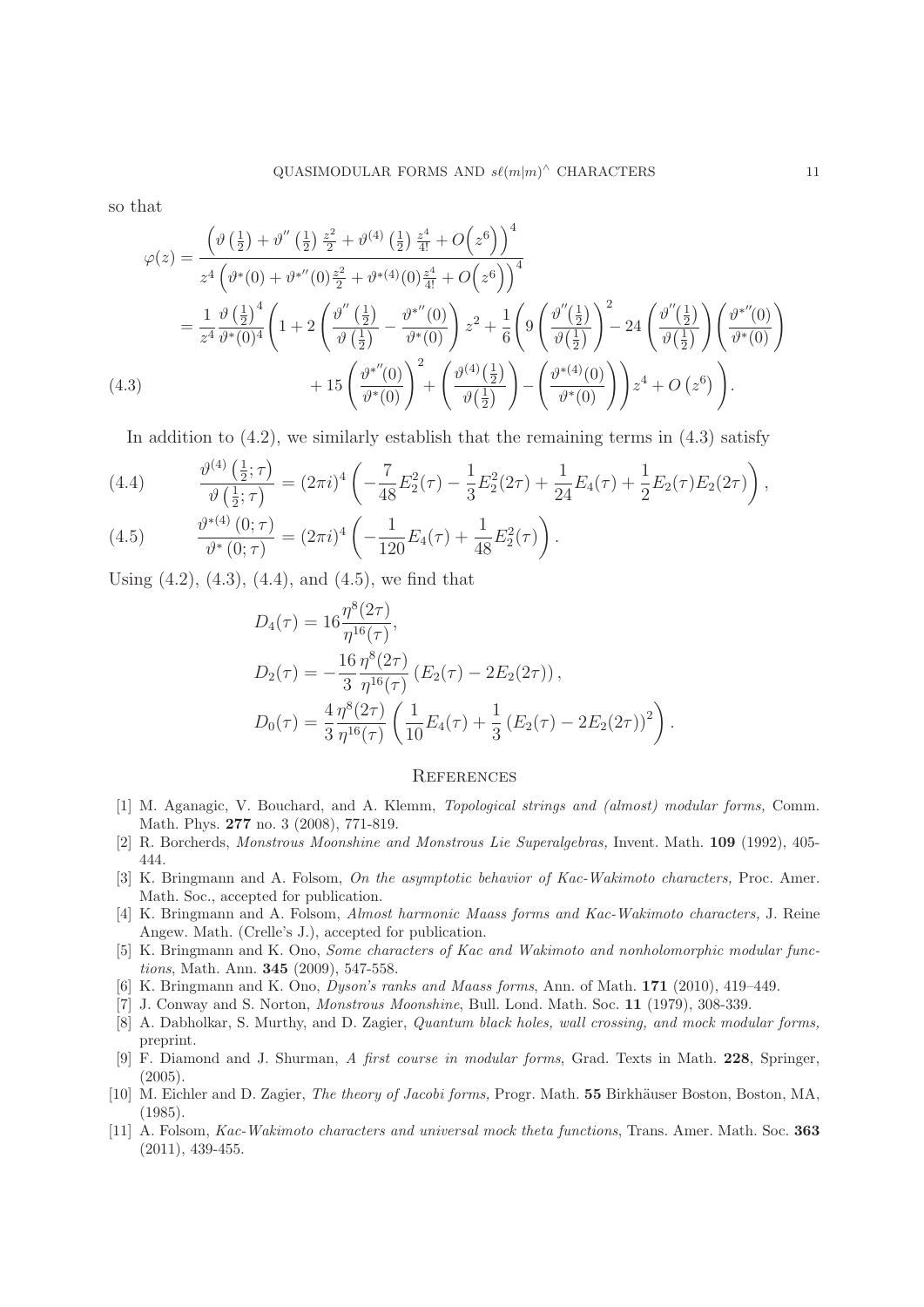so that

$$
\varphi(z) = \frac{\left(\vartheta\left(\frac{1}{2}\right) + \vartheta''\left(\frac{1}{2}\right)\frac{z^2}{2} + \vartheta^{(4)}\left(\frac{1}{2}\right)\frac{z^4}{4!} + O\left(z^6\right)\right)^4}{z^4 \left(\vartheta^*(0) + \vartheta^{*''}(0)\frac{z^2}{2} + \vartheta^{*}(4)(0)\frac{z^4}{4!} + O\left(z^6\right)\right)^4}
$$
  
\n
$$
= \frac{1}{z^4} \frac{\vartheta\left(\frac{1}{2}\right)^4}{\vartheta^*(0)^4} \left(1 + 2\left(\frac{\vartheta''\left(\frac{1}{2}\right)}{\vartheta\left(\frac{1}{2}\right)} - \frac{\vartheta^{*''}(0)}{\vartheta^*(0)}\right)z^2 + \frac{1}{6}\left(\vartheta\left(\frac{\vartheta''\left(\frac{1}{2}\right)}{\vartheta\left(\frac{1}{2}\right)}\right)^2 - 24\left(\frac{\vartheta''\left(\frac{1}{2}\right)}{\vartheta\left(\frac{1}{2}\right)}\right)\left(\frac{\vartheta^{*''}(0)}{\vartheta^*(0)}\right) + 15\left(\frac{\vartheta^{*''}(0)}{\vartheta^*(0)}\right)^2 + \left(\frac{\vartheta^{(4)}\left(\frac{1}{2}\right)}{\vartheta\left(\frac{1}{2}\right)}\right) - \left(\frac{\vartheta^{*}(4)(0)}{\vartheta^*(0)}\right)\right)z^4 + O\left(z^6\right).
$$
  
\n(4.3)

In addition to  $(4.2)$ , we similarly establish that the remaining terms in  $(4.3)$  satisfy

(4.4) 
$$
\frac{\vartheta^{(4)}(\frac{1}{2};\tau)}{\vartheta(\frac{1}{2};\tau)} = (2\pi i)^4 \left( -\frac{7}{48} E_2^2(\tau) - \frac{1}{3} E_2^2(2\tau) + \frac{1}{24} E_4(\tau) + \frac{1}{2} E_2(\tau) E_2(2\tau) \right),
$$

(4.5) 
$$
\frac{\partial^{*(4)}(0;\tau)}{\partial^{*(0)}(\tau)} = (2\pi i)^4 \left( -\frac{1}{120} E_4(\tau) + \frac{1}{48} E_2^2(\tau) \right).
$$

Using  $(4.2)$ ,  $(4.3)$ ,  $(4.4)$ , and  $(4.5)$ , we find that

$$
D_4(\tau) = 16 \frac{\eta^8(2\tau)}{\eta^{16}(\tau)},
$$
  
\n
$$
D_2(\tau) = -\frac{16}{3} \frac{\eta^8(2\tau)}{\eta^{16}(\tau)} (E_2(\tau) - 2E_2(2\tau)),
$$
  
\n
$$
D_0(\tau) = \frac{4}{3} \frac{\eta^8(2\tau)}{\eta^{16}(\tau)} \left( \frac{1}{10} E_4(\tau) + \frac{1}{3} (E_2(\tau) - 2E_2(2\tau))^2 \right).
$$

### **REFERENCES**

- [1] M. Aganagic, V. Bouchard, and A. Klemm, *Topological strings and (almost) modular forms*, Comm. Math. Phys. **277** no. 3 (2008), 771-819.
- [2] R. Borcherds, Monstrous Moonshine and Monstrous Lie Superalgebras, Invent. Math. **109** (1992), 405- 444.
- [3] K. Bringmann and A. Folsom, On the asymptotic behavior of Kac-Wakimoto characters, Proc. Amer. Math. Soc., accepted for publication.
- [4] K. Bringmann and A. Folsom, Almost harmonic Maass forms and Kac-Wakimoto characters, J. Reine Angew. Math. (Crelle's J.), accepted for publication.
- [5] K. Bringmann and K. Ono, Some characters of Kac and Wakimoto and nonholomorphic modular functions, Math. Ann. **345** (2009), 547-558.
- [6] K. Bringmann and K. Ono, Dyson's ranks and Maass forms, Ann. of Math. **171** (2010), 419–449.
- [7] J. Conway and S. Norton, Monstrous Moonshine, Bull. Lond. Math. Soc. **11** (1979), 308-339.
- [8] A. Dabholkar, S. Murthy, and D. Zagier, Quantum black holes, wall crossing, and mock modular forms, preprint.
- [9] F. Diamond and J. Shurman, A first course in modular forms, Grad. Texts in Math. **228**, Springer,  $(2005).$
- [10] M. Eichler and D. Zagier, *The theory of Jacobi forms*, Progr. Math. **55** Birkhäuser Boston, Boston, MA, (1985).
- [11] A. Folsom, Kac-Wakimoto characters and universal mock theta functions, Trans. Amer. Math. Soc. **363** (2011), 439-455.